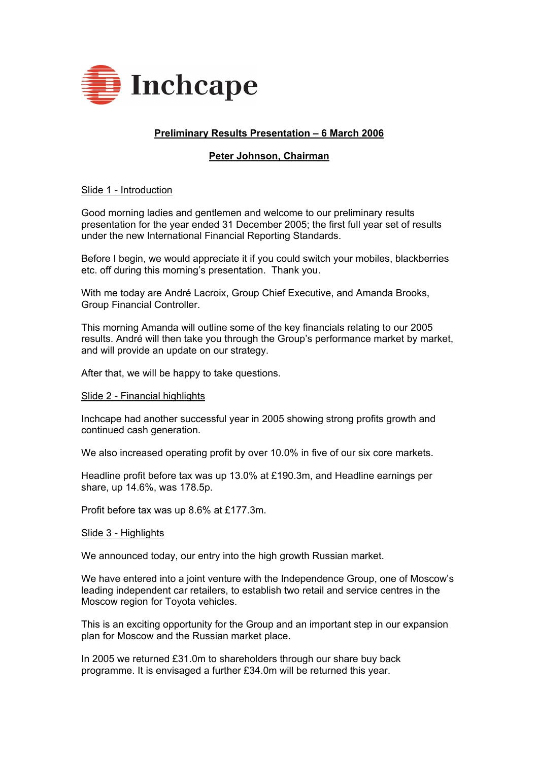

# **Preliminary Results Presentation - 6 March 2006**

## **Peter Johnson, Chairman**

## Slide 1 - Introduction

Good morning ladies and gentlemen and welcome to our preliminary results presentation for the year ended 31 December 2005; the first full year set of results under the new International Financial Reporting Standards.

Before I begin, we would appreciate it if you could switch your mobiles, blackberries etc. off during this morning's presentation. Thank you.

With me today are André Lacroix, Group Chief Executive, and Amanda Brooks, Group Financial Controller.

This morning Amanda will outline some of the key financials relating to our 2005 results. André will then take you through the Group's performance market by market, and will provide an update on our strategy.

After that, we will be happy to take questions.

### Slide 2 - Financial highlights

Inchcape had another successful year in 2005 showing strong profits growth and continued cash generation.

We also increased operating profit by over 10.0% in five of our six core markets.

Headline profit before tax was up 13.0% at £190.3m, and Headline earnings per share, up 14.6%, was 178.5p.

Profit before tax was up 8.6% at £177.3m.

### Slide 3 - Highlights

We announced today, our entry into the high growth Russian market.

We have entered into a joint venture with the Independence Group, one of Moscow's leading independent car retailers, to establish two retail and service centres in the Moscow region for Toyota vehicles.

This is an exciting opportunity for the Group and an important step in our expansion plan for Moscow and the Russian market place.

In 2005 we returned £31.0m to shareholders through our share buy back programme. It is envisaged a further £34.0m will be returned this year.